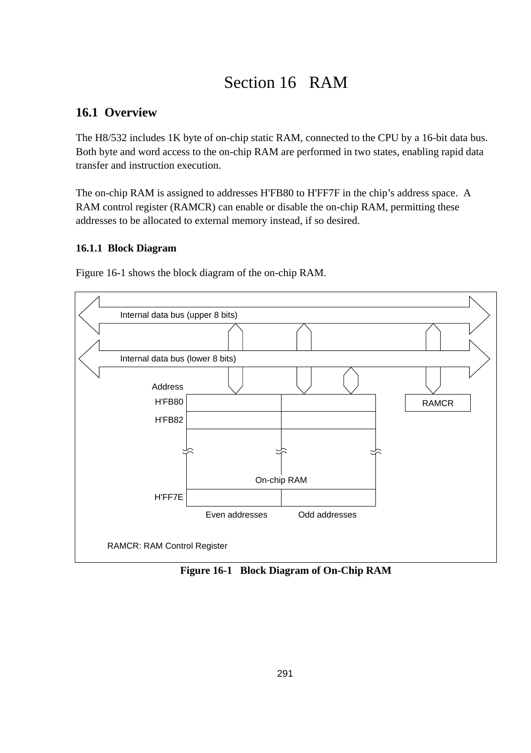# Section 16 RAM

## **16.1 Overview**

The H8/532 includes 1K byte of on-chip static RAM, connected to the CPU by a 16-bit data bus. Both byte and word access to the on-chip RAM are performed in two states, enabling rapid data transfer and instruction execution.

The on-chip RAM is assigned to addresses H'FB80 to H'FF7F in the chip's address space. A RAM control register (RAMCR) can enable or disable the on-chip RAM, permitting these addresses to be allocated to external memory instead, if so desired.

### **16.1.1 Block Diagram**

Figure 16-1 shows the block diagram of the on-chip RAM.



**Figure 16-1 Block Diagram of On-Chip RAM**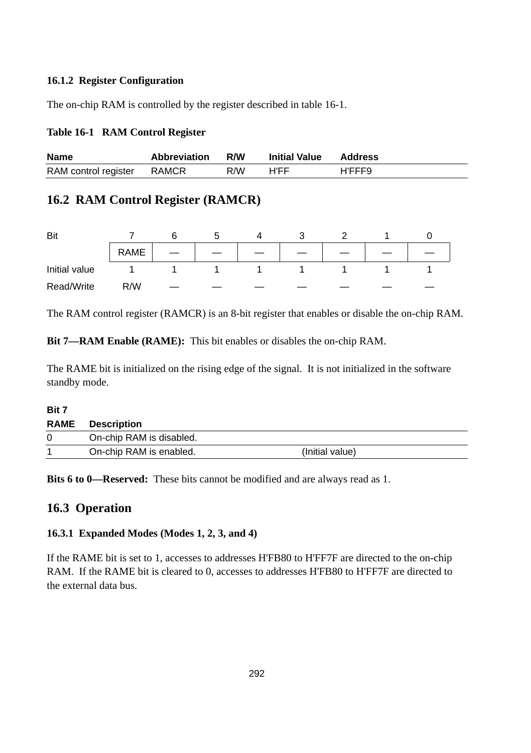#### **16.1.2 Register Configuration**

The on-chip RAM is controlled by the register described in table 16-1.

#### **Table 16-1 RAM Control Register**

| <b>Name</b>                | <b>Abbreviation</b> | R/W | <b>Initial Value</b> | Address |
|----------------------------|---------------------|-----|----------------------|---------|
| RAM control register RAMCR |                     | R/W | H'FF                 | H'FFF9  |

### **16.2 RAM Control Register (RAMCR)**

| Bit           |      |  |  |  |  |
|---------------|------|--|--|--|--|
|               | RAME |  |  |  |  |
| Initial value |      |  |  |  |  |
| Read/Write    | R/W  |  |  |  |  |

The RAM control register (RAMCR) is an 8-bit register that enables or disable the on-chip RAM.

**Bit 7—RAM Enable (RAME):** This bit enables or disables the on-chip RAM.

The RAME bit is initialized on the rising edge of the signal. It is not initialized in the software standby mode.

#### **Bit 7**

| <b>RAME</b> | <b>Description</b>       |                 |
|-------------|--------------------------|-----------------|
| $\Omega$    | On-chip RAM is disabled. |                 |
|             | On-chip RAM is enabled.  | (Initial value) |

**Bits 6 to 0—Reserved:** These bits cannot be modified and are always read as 1.

### **16.3 Operation**

### **16.3.1 Expanded Modes (Modes 1, 2, 3, and 4)**

If the RAME bit is set to 1, accesses to addresses H'FB80 to H'FF7F are directed to the on-chip RAM. If the RAME bit is cleared to 0, accesses to addresses H'FB80 to H'FF7F are directed to the external data bus.